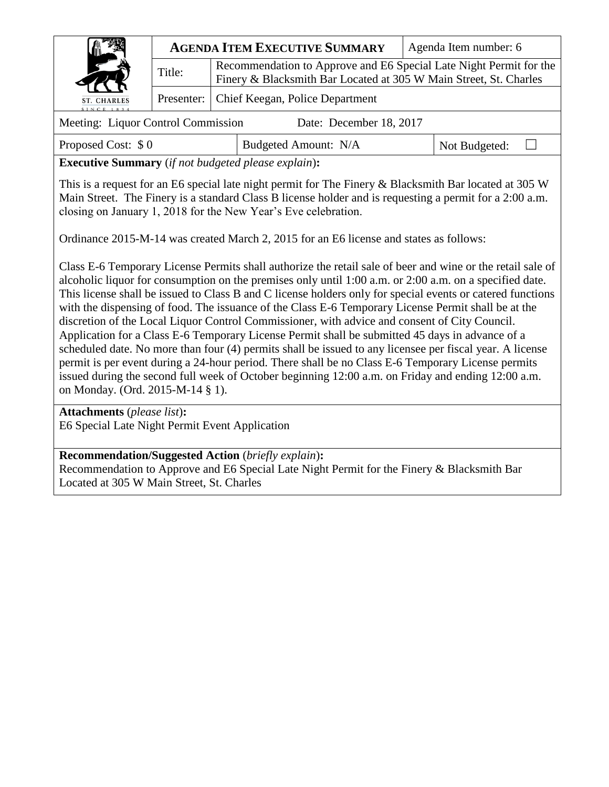|                                                               |        | <b>AGENDA ITEM EXECUTIVE SUMMARY</b>                                                                                                    | Agenda Item number: 6 |  |
|---------------------------------------------------------------|--------|-----------------------------------------------------------------------------------------------------------------------------------------|-----------------------|--|
|                                                               | Title: | Recommendation to Approve and E6 Special Late Night Permit for the<br>Finery & Blacksmith Bar Located at 305 W Main Street, St. Charles |                       |  |
| ST. CHARLES<br>SINCE 1834                                     |        | Presenter:   Chief Keegan, Police Department                                                                                            |                       |  |
| Meeting: Liquor Control Commission<br>Date: December 18, 2017 |        |                                                                                                                                         |                       |  |

Proposed Cost:  $\$0$  Budgeted Amount: N/A Not Budgeted:  $\Box$ 

**Executive Summary** (*if not budgeted please explain*)**:**

This is a request for an E6 special late night permit for The Finery & Blacksmith Bar located at 305 W Main Street. The Finery is a standard Class B license holder and is requesting a permit for a 2:00 a.m. closing on January 1, 2018 for the New Year's Eve celebration.

Ordinance 2015-M-14 was created March 2, 2015 for an E6 license and states as follows:

Class E-6 Temporary License Permits shall authorize the retail sale of beer and wine or the retail sale of alcoholic liquor for consumption on the premises only until 1:00 a.m. or 2:00 a.m. on a specified date. This license shall be issued to Class B and C license holders only for special events or catered functions with the dispensing of food. The issuance of the Class E-6 Temporary License Permit shall be at the discretion of the Local Liquor Control Commissioner, with advice and consent of City Council. Application for a Class E-6 Temporary License Permit shall be submitted 45 days in advance of a scheduled date. No more than four (4) permits shall be issued to any licensee per fiscal year. A license permit is per event during a 24-hour period. There shall be no Class E-6 Temporary License permits issued during the second full week of October beginning 12:00 a.m. on Friday and ending 12:00 a.m. on Monday. (Ord. 2015-M-14 § 1).

**Attachments** (*please list*)**:**  E6 Special Late Night Permit Event Application

## **Recommendation/Suggested Action** (*briefly explain*)**:**

Recommendation to Approve and E6 Special Late Night Permit for the Finery & Blacksmith Bar Located at 305 W Main Street, St. Charles